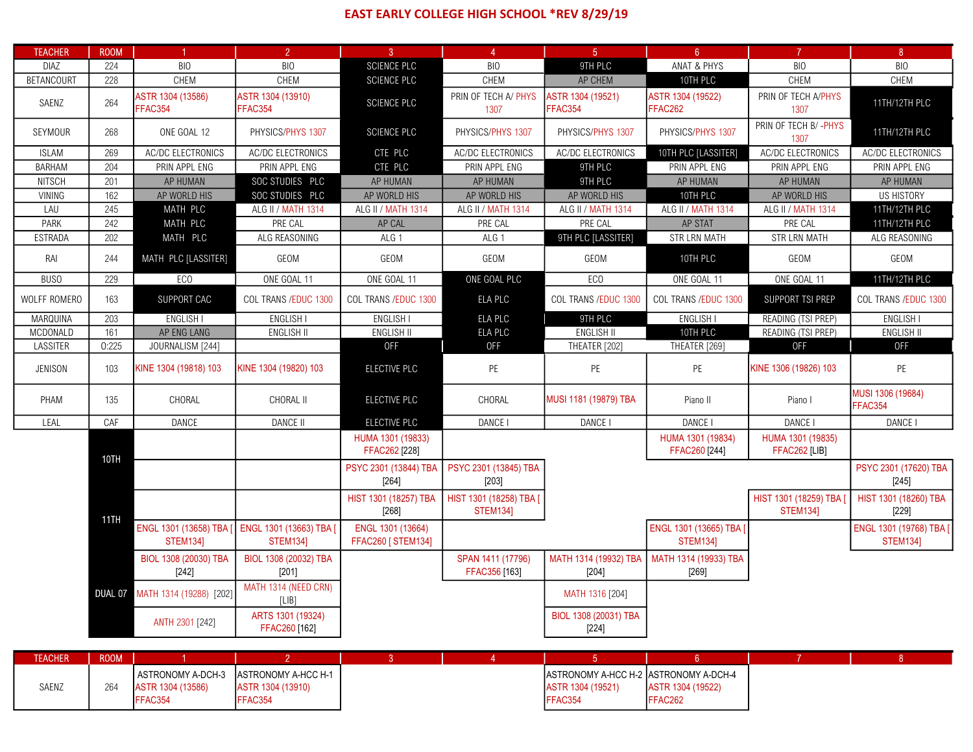## EAST EARLY COLLEGE HIGH SCHOOL \*REV 8/29/19

| <b>TEACHER</b>    | <b>ROOM</b> | $\blacktriangleleft$                              | $\overline{2}$                                      | $\overline{3}$                                 | $\overline{4}$                             | 5 <sup>5</sup>                                      | 6 <sup>1</sup>                                    | $\mathbf{7}$                               | 8 <sup>1</sup>                             |
|-------------------|-------------|---------------------------------------------------|-----------------------------------------------------|------------------------------------------------|--------------------------------------------|-----------------------------------------------------|---------------------------------------------------|--------------------------------------------|--------------------------------------------|
| DIAZ              | 224         | <b>BIO</b>                                        | <b>BIO</b>                                          | <b>SCIENCE PLC</b>                             | <b>BIO</b>                                 | 9TH PLC                                             | ANAT & PHYS                                       | <b>BIO</b>                                 | <b>BIO</b>                                 |
| <b>BETANCOURT</b> | 228         | CHEM                                              | <b>CHEM</b>                                         | <b>SCIENCE PLC</b>                             | CHEM                                       | AP CHEM                                             | 10TH PLC                                          | CHEM                                       | CHEM                                       |
| SAENZ             | 264         | ASTR 1304 (13586)<br>FFAC354                      | ASTR 1304 (13910)<br>FFAC354                        | SCIENCE PLC                                    | PRIN OF TECH A/ PHYS<br>1307               | ASTR 1304 (19521)<br>FFAC354                        | ASTR 1304 (19522)<br>FFAC262                      | PRIN OF TECH A/PHYS<br>1307                | 11TH/12TH PLC                              |
| SEYMOUR           | 268         | ONE GOAL 12                                       | PHYSICS/PHYS 1307                                   | <b>SCIENCE PLC</b>                             | PHYSICS/PHYS 1307                          | PHYSICS/PHYS 1307                                   | PHYSICS/PHYS 1307                                 | PRIN OF TECH B/-PHYS<br>1307               | 11TH/12TH PLC                              |
| <b>ISLAM</b>      | 269         | AC/DC ELECTRONICS                                 | AC/DC ELECTRONICS                                   | CTE PLC                                        | <b>AC/DC ELECTRONICS</b>                   | AC/DC ELECTRONICS                                   | 10TH PLC [LASSITER]                               | AC/DC ELECTRONICS                          | AC/DC ELECTRONICS                          |
| BARHAM            | 204         | PRIN APPL ENG                                     | PRIN APPL ENG                                       | CTE PLC                                        | PRIN APPL ENG                              | 9TH PLC                                             | PRIN APPL ENG                                     | PRIN APPL ENG                              | PRIN APPL ENG                              |
| <b>NITSCH</b>     | 201         | AP HUMAN                                          | SOC STUDIES PLC                                     | AP HUMAN                                       | AP HUMAN                                   | 9TH PLC                                             | AP HUMAN                                          | AP HUMAN                                   | AP HUMAN                                   |
| VINING            | 162         | AP WORLD HIS                                      | SOC STUDIES PLC                                     | AP WORLD HIS                                   | AP WORLD HIS                               | AP WORLD HIS                                        | 10TH PLC                                          | AP WORLD HIS                               | <b>US HISTORY</b>                          |
| LAU               | 245         | MATH PLC                                          | ALG II / MATH 1314                                  | ALG II / MATH 1314                             | ALG II / MATH 1314                         | ALG II / MATH 1314                                  | ALG II / MATH 1314                                | ALG II / MATH 1314                         | 11TH/12TH PLC                              |
| PARK              | 242         | MATH PLC                                          | PRE CAL                                             | AP CAL                                         | PRE CAL                                    | PRE CAL                                             | AP STAT                                           | PRE CAL                                    | 11TH/12TH PLC                              |
| ESTRADA           | 202         | MATH PLC                                          | ALG REASONING                                       | ALG 1                                          | ALG 1                                      | 9TH PLC [LASSITER]                                  | STR LRN MATH                                      | STR LRN MATH                               | ALG REASONING                              |
| RAI               | 244         | MATH PLC [LASSITER]                               | GEOM                                                | GEOM                                           | GEOM                                       | GEOM                                                | 10TH PLC                                          | GEOM                                       | GEOM                                       |
| <b>BUSO</b>       | 229         | EC <sub>0</sub>                                   | ONE GOAL 11                                         | ONE GOAL 11                                    | ONE GOAL PLC                               | EC <sub>0</sub>                                     | ONE GOAL 11                                       | ONE GOAL 11                                | 11TH/12TH PLC                              |
| WOLFF ROMERO      | 163         | SUPPORT CAC                                       | COL TRANS / EDUC 1300                               | COL TRANS / EDUC 1300                          | ELA PLC                                    | COL TRANS / EDUC 1300                               | COL TRANS / EDUC 1300                             | SUPPORT TSI PREP                           | COL TRANS / EDUC 1300                      |
| MARQUINA          | 203         | <b>ENGLISH I</b>                                  | ENGLISH I                                           | <b>ENGLISH I</b>                               | ELA PLC                                    | 9TH PLC                                             | ENGLISH I                                         | READING (TSI PREP)                         | <b>ENGLISH I</b>                           |
| <b>MCDONALD</b>   | 161         | AP ENG LANG                                       | <b>ENGLISH II</b>                                   | <b>ENGLISH II</b>                              | ELA PLC                                    | <b>ENGLISH II</b>                                   | 10TH PLC                                          | READING (TSI PREP)                         | <b>ENGLISH II</b>                          |
| LASSITER          | 0:225       | JOURNALISM [244]                                  |                                                     | <b>OFF</b>                                     | <b>OFF</b>                                 | THEATER [202]                                       | THEATER [269]                                     | <b>OFF</b>                                 | <b>OFF</b>                                 |
| JENISON           | 103         | KINE 1304 (19818) 103                             | KINE 1304 (19820) 103                               | ELECTIVE PLC                                   | PE                                         | PE                                                  | PE                                                | KINE 1306 (19826) 103                      | PE                                         |
| PHAM              | 135         | CHORAL                                            | CHORAL II                                           | ELECTIVE PLC                                   | CHORAL                                     | MUSI 1181 (19879) TBA                               | Piano II                                          | Piano I                                    | MUSI 1306 (19684)<br>FFAC354               |
| LEAL              | CAF         | DANCE                                             | <b>DANCE II</b>                                     | ELECTIVE PLC                                   | DANCE I                                    | DANCE I                                             | DANCE I                                           | DANCE I                                    | DANCE I                                    |
|                   |             |                                                   |                                                     | HUMA 1301 (19833)<br>FFAC262 [228]             |                                            |                                                     | HUMA 1301 (19834)<br>FFAC260 [244]                | HUMA 1301 (19835)<br>FFAC262 [LIB]         |                                            |
|                   | 10TH        |                                                   |                                                     | PSYC 2301 (13844) TBA<br>$[264]$               | PSYC 2301 (13845) TBA<br>$[203]$           |                                                     |                                                   |                                            | PSYC 2301 (17620) TBA<br>$[245]$           |
|                   |             |                                                   |                                                     | HIST 1301 (18257) TBA<br>$[268]$               | HIST 1301 (18258) TBA [<br><b>STEM1341</b> |                                                     |                                                   | HIST 1301 (18259) TBA  <br><b>STEM134]</b> | HIST 1301 (18260) TBA<br>$[229]$           |
|                   | 11TH        | ENGL 1301 (13658) TBA [<br><b>STEM134]</b>        | ENGL 1301 (13663) TBA [<br><b>STEM134]</b>          | ENGL 1301 (13664)<br><b>FFAC260 [ STEM134]</b> |                                            |                                                     | ENGL 1301 (13665) TBA [<br><b>STEM134]</b>        |                                            | ENGL 1301 (19768) TBA [<br><b>STEM134]</b> |
|                   |             | BIOL 1308 (20030) TBA<br>$[242]$                  | BIOL 1308 (20032) TBA<br>[201]                      |                                                | SPAN 1411 (17796)<br>FFAC356 [163]         | MATH 1314 (19932) TBA<br>$[204]$                    | MATH 1314 (19933) TBA<br>$[269]$                  |                                            |                                            |
|                   |             | DUAL 07 MATH 1314 (19288) [202]                   | MATH 1314 (NEED CRN)<br>[LIB]                       |                                                |                                            | MATH 1316 [204]                                     |                                                   |                                            |                                            |
|                   |             | ANTH 2301 [242]                                   | ARTS 1301 (19324)<br>FFAC260 [162]                  |                                                |                                            | BIOL 1308 (20031) TBA<br>$[224]$                    |                                                   |                                            |                                            |
|                   |             |                                                   |                                                     |                                                |                                            |                                                     |                                                   |                                            |                                            |
| <b>TEACHER</b>    | <b>ROOM</b> |                                                   | $\overline{2}$                                      | 3 <sup>7</sup>                                 | $\overline{4}$                             | 5 <sup>1</sup>                                      | 6 <sup>1</sup>                                    | 7 <sup>7</sup>                             | 8 <sup>°</sup>                             |
| SAENZ             | 264         | ASTRONOMY A-DCH-3<br>ASTR 1304 (13586)<br>FFAC354 | ASTRONOMY A-HCC H-1<br>ASTR 1304 (13910)<br>FFAC354 |                                                |                                            | ASTRONOMY A-HCC H-2<br>ASTR 1304 (19521)<br>FFAC354 | ASTRONOMY A-DCH-4<br>ASTR 1304 (19522)<br>FFAC262 |                                            |                                            |